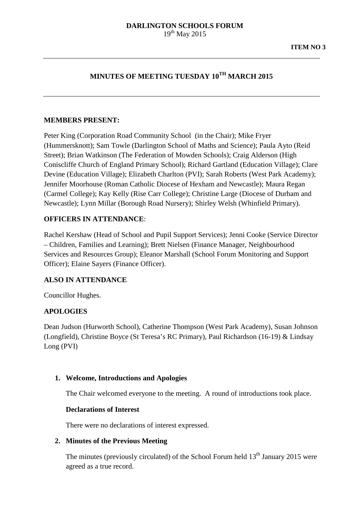# **MINUTES OF MEETING TUESDAY 10TH MARCH 2015**

## **MEMBERS PRESENT:**

Peter King (Corporation Road Community School (in the Chair); Mike Fryer (Hummersknott); Sam Towle (Darlington School of Maths and Science); Paula Ayto (Reid Street); Brian Watkinson (The Federation of Mowden Schools); Craig Alderson (High Coniscliffe Church of England Primary School); Richard Gartland (Education Village); Clare Devine (Education Village); Elizabeth Charlton (PVI); Sarah Roberts (West Park Academy); Jennifer Moorhouse (Roman Catholic Diocese of Hexham and Newcastle); Maura Regan (Carmel College); Kay Kelly (Rise Carr College); Christine Large (Diocese of Durham and Newcastle); Lynn Millar (Borough Road Nursery); Shirley Welsh (Whinfield Primary).

# **OFFICERS IN ATTENDANCE**:

Rachel Kershaw (Head of School and Pupil Support Services); Jenni Cooke (Service Director – Children, Families and Learning); Brett Nielsen (Finance Manager, Neighbourhood Services and Resources Group); Eleanor Marshall (School Forum Monitoring and Support Officer); Elaine Sayers (Finance Officer).

## **ALSO IN ATTENDANCE**

Councillor Hughes.

# **APOLOGIES**

Dean Judson (Hurworth School), Catherine Thompson (West Park Academy), Susan Johnson (Longfield), Christine Boyce (St Teresa's RC Primary), Paul Richardson (16-19) & Lindsay Long (PVI)

## **1. Welcome, Introductions and Apologies**

The Chair welcomed everyone to the meeting. A round of introductions took place.

## **Declarations of Interest**

There were no declarations of interest expressed.

## **2. Minutes of the Previous Meeting**

The minutes (previously circulated) of the School Forum held  $13<sup>th</sup>$  January 2015 were agreed as a true record.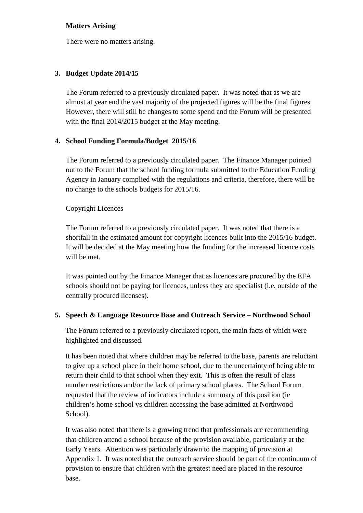## **Matters Arising**

There were no matters arising.

# **3. Budget Update 2014/15**

The Forum referred to a previously circulated paper. It was noted that as we are almost at year end the vast majority of the projected figures will be the final figures. However, there will still be changes to some spend and the Forum will be presented with the final 2014/2015 budget at the May meeting.

# **4. School Funding Formula/Budget 2015/16**

The Forum referred to a previously circulated paper. The Finance Manager pointed out to the Forum that the school funding formula submitted to the Education Funding Agency in January complied with the regulations and criteria, therefore, there will be no change to the schools budgets for 2015/16.

# Copyright Licences

The Forum referred to a previously circulated paper. It was noted that there is a shortfall in the estimated amount for copyright licences built into the 2015/16 budget. It will be decided at the May meeting how the funding for the increased licence costs will be met.

It was pointed out by the Finance Manager that as licences are procured by the EFA schools should not be paying for licences, unless they are specialist (i.e. outside of the centrally procured licenses).

# **5. Speech & Language Resource Base and Outreach Service – Northwood School**

The Forum referred to a previously circulated report, the main facts of which were highlighted and discussed.

It has been noted that where children may be referred to the base, parents are reluctant to give up a school place in their home school, due to the uncertainty of being able to return their child to that school when they exit. This is often the result of class number restrictions and/or the lack of primary school places. The School Forum requested that the review of indicators include a summary of this position (ie children's home school vs children accessing the base admitted at Northwood School).

It was also noted that there is a growing trend that professionals are recommending that children attend a school because of the provision available, particularly at the Early Years. Attention was particularly drawn to the mapping of provision at Appendix 1. It was noted that the outreach service should be part of the continuum of provision to ensure that children with the greatest need are placed in the resource base.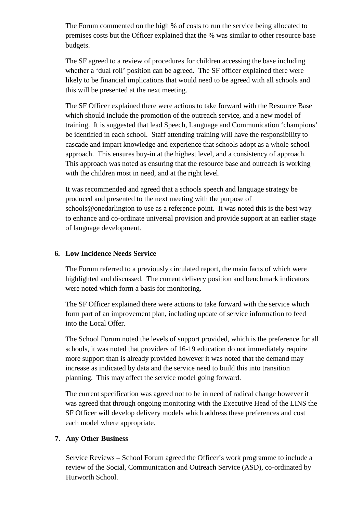The Forum commented on the high % of costs to run the service being allocated to premises costs but the Officer explained that the % was similar to other resource base budgets.

The SF agreed to a review of procedures for children accessing the base including whether a 'dual roll' position can be agreed. The SF officer explained there were likely to be financial implications that would need to be agreed with all schools and this will be presented at the next meeting.

The SF Officer explained there were actions to take forward with the Resource Base which should include the promotion of the outreach service, and a new model of training. It is suggested that lead Speech, Language and Communication 'champions' be identified in each school. Staff attending training will have the responsibility to cascade and impart knowledge and experience that schools adopt as a whole school approach. This ensures buy-in at the highest level, and a consistency of approach. This approach was noted as ensuring that the resource base and outreach is working with the children most in need, and at the right level.

It was recommended and agreed that a schools speech and language strategy be produced and presented to the next meeting with the purpose of schools@onedarlington to use as a reference point. It was noted this is the best way to enhance and co-ordinate universal provision and provide support at an earlier stage of language development.

# **6. Low Incidence Needs Service**

The Forum referred to a previously circulated report, the main facts of which were highlighted and discussed. The current delivery position and benchmark indicators were noted which form a basis for monitoring.

The SF Officer explained there were actions to take forward with the service which form part of an improvement plan, including update of service information to feed into the Local Offer.

The School Forum noted the levels of support provided, which is the preference for all schools, it was noted that providers of 16-19 education do not immediately require more support than is already provided however it was noted that the demand may increase as indicated by data and the service need to build this into transition planning. This may affect the service model going forward.

The current specification was agreed not to be in need of radical change however it was agreed that through ongoing monitoring with the Executive Head of the LINS the SF Officer will develop delivery models which address these preferences and cost each model where appropriate.

# **7. Any Other Business**

Service Reviews – School Forum agreed the Officer's work programme to include a review of the Social, Communication and Outreach Service (ASD), co-ordinated by Hurworth School.